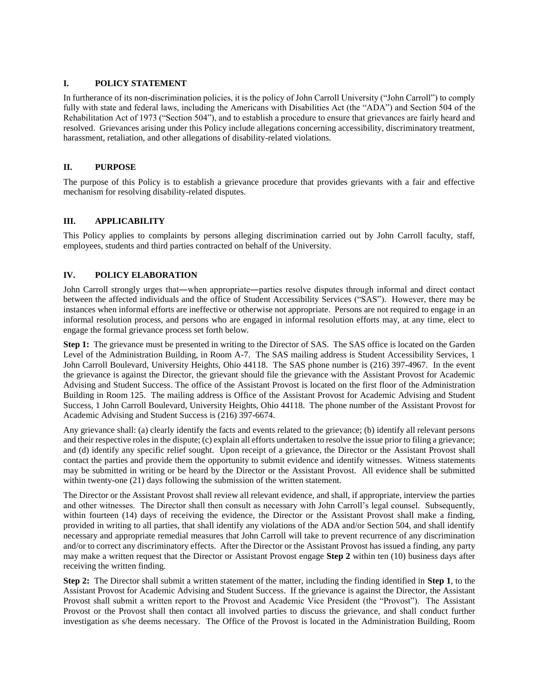## **I. POLICY STATEMENT**

In furtherance of its non-discrimination policies, it is the policy of John Carroll University ("John Carroll") to comply fully with state and federal laws, including the Americans with Disabilities Act (the "ADA") and Section 504 of the Rehabilitation Act of 1973 ("Section 504"), and to establish a procedure to ensure that grievances are fairly heard and resolved. Grievances arising under this Policy include allegations concerning accessibility, discriminatory treatment, harassment, retaliation, and other allegations of disability-related violations.

## **II. PURPOSE**

The purpose of this Policy is to establish a grievance procedure that provides grievants with a fair and effective mechanism for resolving disability-related disputes.

## **III. APPLICABILITY**

This Policy applies to complaints by persons alleging discrimination carried out by John Carroll faculty, staff, employees, students and third parties contracted on behalf of the University.

## **IV. POLICY ELABORATION**

John Carroll strongly urges that―when appropriate―parties resolve disputes through informal and direct contact between the affected individuals and the office of Student Accessibility Services ("SAS"). However, there may be instances when informal efforts are ineffective or otherwise not appropriate. Persons are not required to engage in an informal resolution process, and persons who are engaged in informal resolution efforts may, at any time, elect to engage the formal grievance process set forth below.

**Step 1:** The grievance must be presented in writing to the Director of SAS. The SAS office is located on the Garden Level of the Administration Building, in Room A-7. The SAS mailing address is Student Accessibility Services, 1 John Carroll Boulevard, University Heights, Ohio 44118. The SAS phone number is (216) 397-4967. In the event the grievance is against the Director, the grievant should file the grievance with the Assistant Provost for Academic Advising and Student Success. The office of the Assistant Provost is located on the first floor of the Administration Building in Room 125. The mailing address is Office of the Assistant Provost for Academic Advising and Student Success, 1 John Carroll Boulevard, University Heights, Ohio 44118. The phone number of the Assistant Provost for Academic Advising and Student Success is (216) 397-6674.

Any grievance shall: (a) clearly identify the facts and events related to the grievance; (b) identify all relevant persons and their respective roles in the dispute; (c) explain all efforts undertaken to resolve the issue prior to filing a grievance; and (d) identify any specific relief sought. Upon receipt of a grievance, the Director or the Assistant Provost shall contact the parties and provide them the opportunity to submit evidence and identify witnesses. Witness statements may be submitted in writing or be heard by the Director or the Assistant Provost. All evidence shall be submitted within twenty-one (21) days following the submission of the written statement.

The Director or the Assistant Provost shall review all relevant evidence, and shall, if appropriate, interview the parties and other witnesses. The Director shall then consult as necessary with John Carroll's legal counsel. Subsequently, within fourteen (14) days of receiving the evidence, the Director or the Assistant Provost shall make a finding, provided in writing to all parties, that shall identify any violations of the ADA and/or Section 504, and shall identify necessary and appropriate remedial measures that John Carroll will take to prevent recurrence of any discrimination and/or to correct any discriminatory effects. After the Director or the Assistant Provost has issued a finding, any party may make a written request that the Director or Assistant Provost engage **Step 2** within ten (10) business days after receiving the written finding.

**Step 2:** The Director shall submit a written statement of the matter, including the finding identified in **Step 1**, to the Assistant Provost for Academic Advising and Student Success. If the grievance is against the Director, the Assistant Provost shall submit a written report to the Provost and Academic Vice President (the "Provost"). The Assistant Provost or the Provost shall then contact all involved parties to discuss the grievance, and shall conduct further investigation as s/he deems necessary. The Office of the Provost is located in the Administration Building, Room